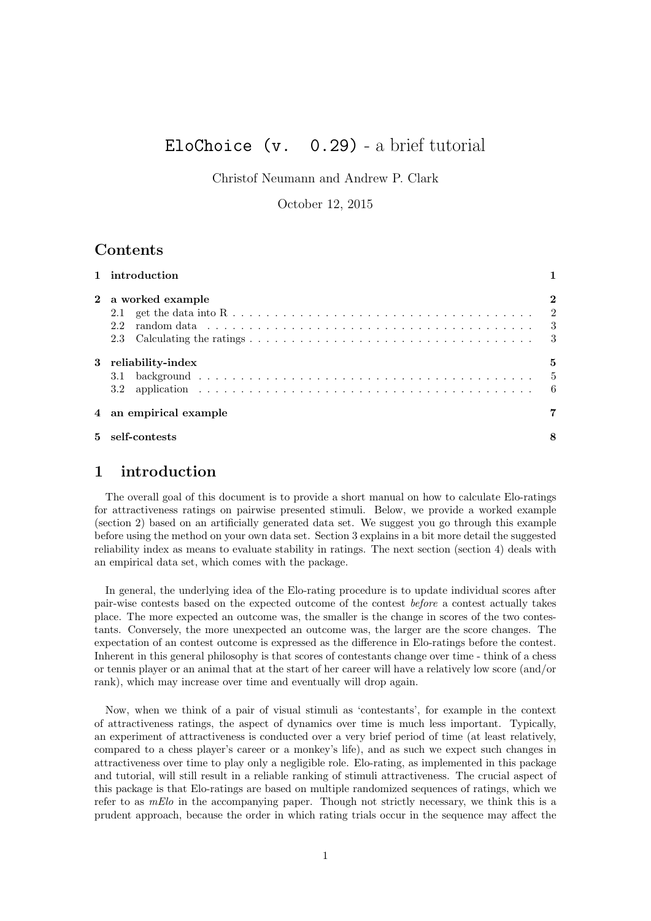# EloChoice (v. 0.29) - a brief tutorial

Christof Neumann and Andrew P. Clark

October 12, 2015

# **Contents**

| 1 introduction                                                                                                                        |          |
|---------------------------------------------------------------------------------------------------------------------------------------|----------|
| 2 a worked example<br>random data $\ldots \ldots \ldots \ldots \ldots \ldots \ldots \ldots \ldots \ldots \ldots \ldots \ldots$<br>2.2 | $\bf{2}$ |
| 3 reliability-index                                                                                                                   | 5        |
| 4 an empirical example                                                                                                                |          |
| 5 self-contests                                                                                                                       | 8        |

## <span id="page-0-0"></span>1 introduction

The overall goal of this document is to provide a short manual on how to calculate Elo-ratings for attractiveness ratings on pairwise presented stimuli. Below, we provide a worked example (section [2\)](#page-1-0) based on an artificially generated data set. We suggest you go through this example before using the method on your own data set. Section [3](#page-4-0) explains in a bit more detail the suggested reliability index as means to evaluate stability in ratings. The next section (section [4\)](#page-6-0) deals with an empirical data set, which comes with the package.

In general, the underlying idea of the Elo-rating procedure is to update individual scores after pair-wise contests based on the expected outcome of the contest before a contest actually takes place. The more expected an outcome was, the smaller is the change in scores of the two contestants. Conversely, the more unexpected an outcome was, the larger are the score changes. The expectation of an contest outcome is expressed as the difference in Elo-ratings before the contest. Inherent in this general philosophy is that scores of contestants change over time - think of a chess or tennis player or an animal that at the start of her career will have a relatively low score (and/or rank), which may increase over time and eventually will drop again.

Now, when we think of a pair of visual stimuli as 'contestants', for example in the context of attractiveness ratings, the aspect of dynamics over time is much less important. Typically, an experiment of attractiveness is conducted over a very brief period of time (at least relatively, compared to a chess player's career or a monkey's life), and as such we expect such changes in attractiveness over time to play only a negligible role. Elo-rating, as implemented in this package and tutorial, will still result in a reliable ranking of stimuli attractiveness. The crucial aspect of this package is that Elo-ratings are based on multiple randomized sequences of ratings, which we refer to as mElo in the accompanying paper. Though not strictly necessary, we think this is a prudent approach, because the order in which rating trials occur in the sequence may affect the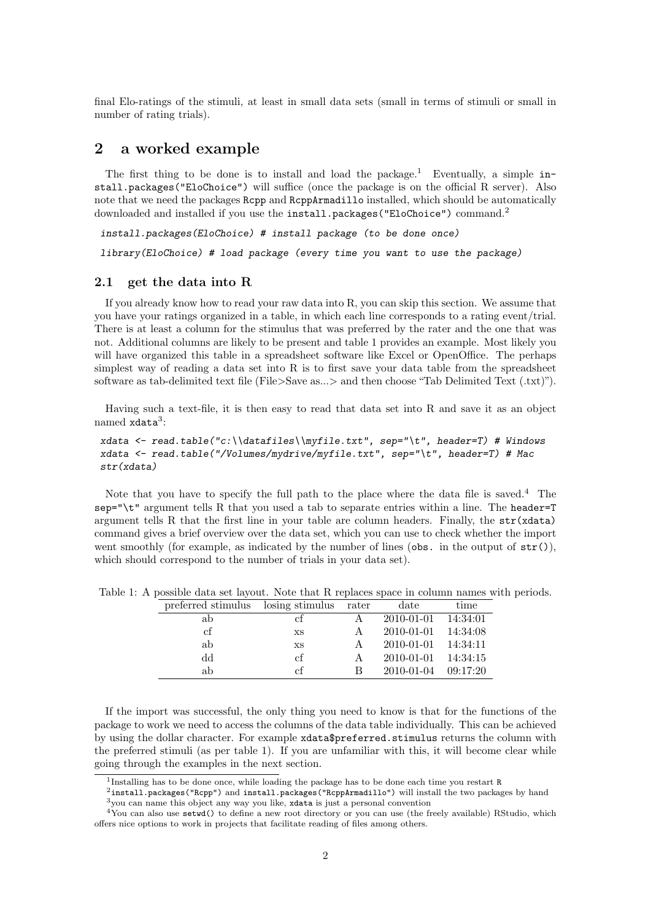final Elo-ratings of the stimuli, at least in small data sets (small in terms of stimuli or small in number of rating trials).

# <span id="page-1-0"></span>2 a worked example

The first thing to be done is to install and load the package.<sup>[1](#page-1-2)</sup> Eventually, a simple  $i$ nstall.packages("EloChoice") will suffice (once the package is on the official R server). Also note that we need the packages Rcpp and RcppArmadillo installed, which should be automatically downloaded and installed if you use the install.packages("EloChoice") command.<sup>[2](#page-1-3)</sup>

install.packages(EloChoice) # install package (to be done once)

library(EloChoice) # load package (every time you want to use the package)

#### <span id="page-1-1"></span>2.1 get the data into R

If you already know how to read your raw data into R, you can skip this section. We assume that you have your ratings organized in a table, in which each line corresponds to a rating event/trial. There is at least a column for the stimulus that was preferred by the rater and the one that was not. Additional columns are likely to be present and table [1](#page-1-4) provides an example. Most likely you will have organized this table in a spreadsheet software like Excel or OpenOffice. The perhaps simplest way of reading a data set into R is to first save your data table from the spreadsheet software as tab-delimited text file (File>Save as...> and then choose "Tab Delimited Text (.txt)").

Having such a text-file, it is then easy to read that data set into R and save it as an object  $n$ amed  $x$ data $3$ :

```
xdata <- read.table("c:\\datafiles\\myfile.txt", sep="\t", header=T) # Windows
xdata <- read.table("/Volumes/mydrive/myfile.txt", sep="\t", header=T) # Mac
str(xdata)
```
Note that you have to specify the full path to the place where the data file is saved.[4](#page-1-6) The sep="\t" argument tells R that you used a tab to separate entries within a line. The header=T argument tells R that the first line in your table are column headers. Finally, the str(xdata) command gives a brief overview over the data set, which you can use to check whether the import went smoothly (for example, as indicated by the number of lines ( $\delta$ bs. in the output of  $str()$ ), which should correspond to the number of trials in your data set).

Table 1: A possible data set layout. Note that R replaces space in column names with periods.

<span id="page-1-4"></span>

| preferred stimulus | losing stimulus rater |              | date             | time     |
|--------------------|-----------------------|--------------|------------------|----------|
| ab                 | сf                    | A            | 2010-01-01       | 14:34:01 |
| $_{\rm cf}$        | XS                    | A            | 2010-01-01       | 14:34:08 |
| ab                 | XS                    | $\mathbf{A}$ | 2010-01-01       | 14:34:11 |
| dd                 | cf                    | $\mathsf{A}$ | $2010 - 01 - 01$ | 14:34:15 |
| a.b                | сf                    | В            | 2010-01-04       | 09:17:20 |

If the import was successful, the only thing you need to know is that for the functions of the package to work we need to access the columns of the data table individually. This can be achieved by using the dollar character. For example xdata\$preferred.stimulus returns the column with the preferred stimuli (as per table [1\)](#page-1-4). If you are unfamiliar with this, it will become clear while going through the examples in the next section.

<span id="page-1-2"></span><sup>1</sup> Installing has to be done once, while loading the package has to be done each time you restart R

<span id="page-1-5"></span><span id="page-1-3"></span> $^2$ install.packages("Rcpp") and install.packages("RcppArmadillo") will install the two packages by hand <sup>3</sup>you can name this object any way you like, xdata is just a personal convention

<span id="page-1-6"></span><sup>&</sup>lt;sup>4</sup>You can also use setwd() to define a new root directory or you can use (the freely available) RStudio, which offers nice options to work in projects that facilitate reading of files among others.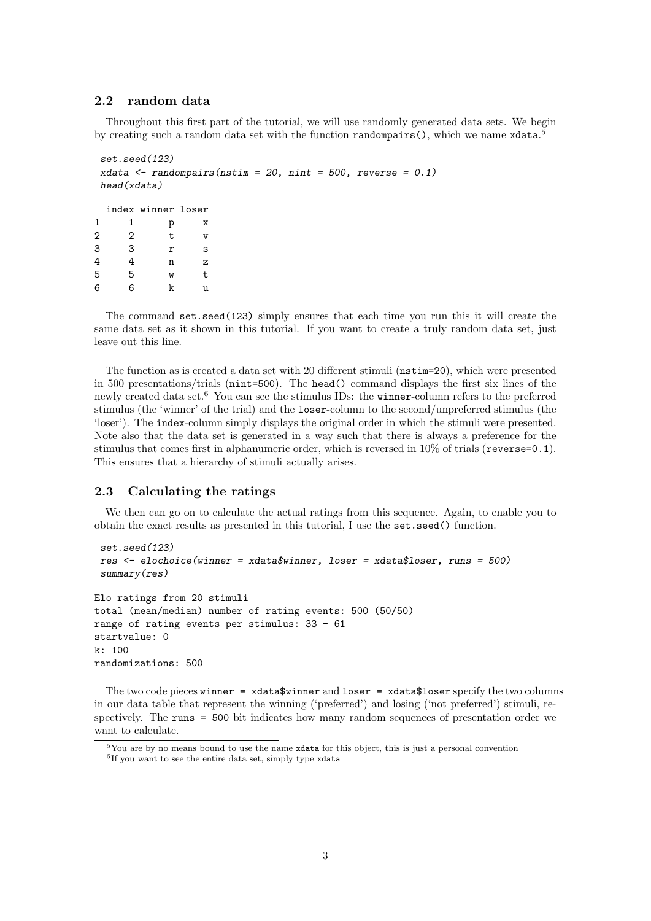#### <span id="page-2-0"></span>2.2 random data

Throughout this first part of the tutorial, we will use randomly generated data sets. We begin by creating such a random data set with the function  $\texttt{randompairs}()$ , which we name  $\texttt{xdata}$ .<sup>[5](#page-2-2)</sup>

```
set.seed(123)
xdata \le randompairs(nstim = 20, nint = 500, reverse = 0.1)
head(xdata)
 index winner loser
1 1 p x
2 2 t v
3 3 r s
4 4 n z
5 5 w t
6 6 k u
```
The command set.seed(123) simply ensures that each time you run this it will create the same data set as it shown in this tutorial. If you want to create a truly random data set, just leave out this line.

The function as is created a data set with 20 different stimuli (nstim=20), which were presented in 500 presentations/trials (nint=500). The head() command displays the first six lines of the newly created data set.[6](#page-2-3) You can see the stimulus IDs: the winner-column refers to the preferred stimulus (the 'winner' of the trial) and the loser-column to the second/unpreferred stimulus (the 'loser'). The index-column simply displays the original order in which the stimuli were presented. Note also that the data set is generated in a way such that there is always a preference for the stimulus that comes first in alphanumeric order, which is reversed in 10% of trials (reverse=0.1). This ensures that a hierarchy of stimuli actually arises.

#### <span id="page-2-1"></span>2.3 Calculating the ratings

We then can go on to calculate the actual ratings from this sequence. Again, to enable you to obtain the exact results as presented in this tutorial, I use the set.seed() function.

```
set.seed(123)
 res <- elochoice(winner = xdata$winner, loser = xdata$loser, runs = 500)
 summary(res)
Elo ratings from 20 stimuli
total (mean/median) number of rating events: 500 (50/50)
range of rating events per stimulus: 33 - 61
startvalue: 0
k: 100
randomizations: 500
```
The two code pieces winner =  $x$ data $x$ winner and loser =  $x$ data $x$ loser specify the two columns in our data table that represent the winning ('preferred') and losing ('not preferred') stimuli, respectively. The runs = 500 bit indicates how many random sequences of presentation order we want to calculate.

<span id="page-2-3"></span><span id="page-2-2"></span> $5$ You are by no means bound to use the name xdata for this object, this is just a personal convention 6 If you want to see the entire data set, simply type xdata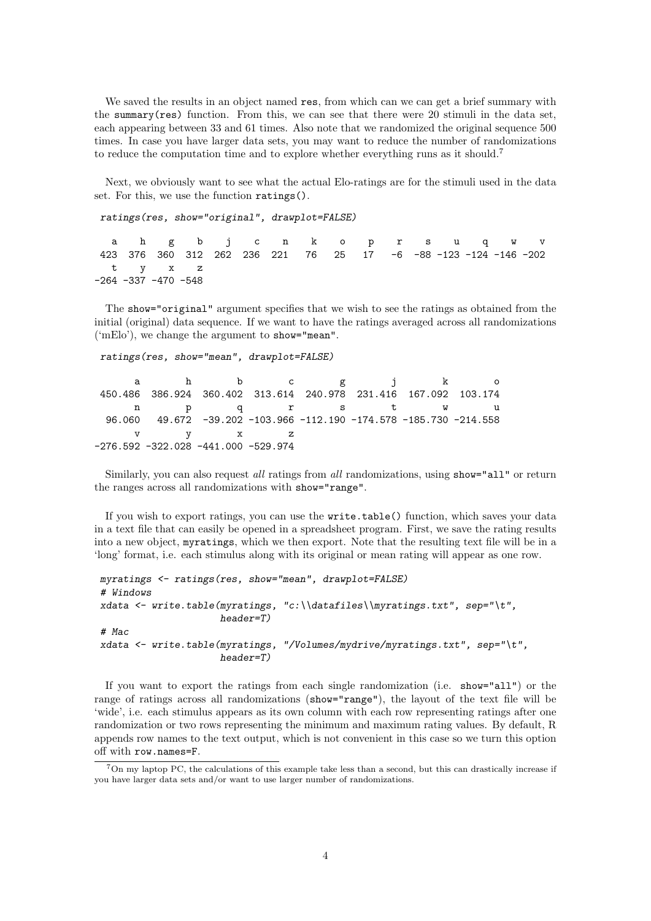We saved the results in an object named res, from which can we can get a brief summary with the summary(res) function. From this, we can see that there were 20 stimuli in the data set, each appearing between 33 and 61 times. Also note that we randomized the original sequence 500 times. In case you have larger data sets, you may want to reduce the number of randomizations to reduce the computation time and to explore whether everything runs as it should.[7](#page-3-0)

Next, we obviously want to see what the actual Elo-ratings are for the stimuli used in the data set. For this, we use the function ratings().

```
ratings(res, show="original", drawplot=FALSE)
```
a h g b j c n k o p r s u q w v 423 376 360 312 262 236 221 76 25 17 -6 -88 -123 -124 -146 -202 t y x z -264 -337 -470 -548

The show="original" argument specifies that we wish to see the ratings as obtained from the initial (original) data sequence. If we want to have the ratings averaged across all randomizations ('mElo'), we change the argument to show="mean".

ratings(res, show="mean", drawplot=FALSE)

|  |  | a h b c g j k o                                                    |                                     |  |
|--|--|--------------------------------------------------------------------|-------------------------------------|--|
|  |  | 450.486 386.924 360.402 313.614 240.978 231.416 167.092 103.174    |                                     |  |
|  |  | n p q r s t w u                                                    |                                     |  |
|  |  | 96.060 49.672 -39.202 -103.966 -112.190 -174.578 -185.730 -214.558 |                                     |  |
|  |  |                                                                    | v y x z                             |  |
|  |  |                                                                    | -276.592 -322.028 -441.000 -529.974 |  |

Similarly, you can also request all ratings from all randomizations, using show="all" or return the ranges across all randomizations with show="range".

If you wish to export ratings, you can use the write.table() function, which saves your data in a text file that can easily be opened in a spreadsheet program. First, we save the rating results into a new object, myratings, which we then export. Note that the resulting text file will be in a 'long' format, i.e. each stimulus along with its original or mean rating will appear as one row.

```
myratings <- ratings(res, show="mean", drawplot=FALSE)
# Windows
xdata <- write.table(myratings, "c:\\datafiles\\myratings.txt", sep="\t",
                     header=T)
# Mac
xdata <- write.table(myratings, "/Volumes/mydrive/myratings.txt", sep="\t",
                     header=T)
```
If you want to export the ratings from each single randomization (i.e. show="all") or the range of ratings across all randomizations (show="range"), the layout of the text file will be 'wide', i.e. each stimulus appears as its own column with each row representing ratings after one randomization or two rows representing the minimum and maximum rating values. By default, R appends row names to the text output, which is not convenient in this case so we turn this option off with row.names=F.

<span id="page-3-0"></span><sup>7</sup>On my laptop PC, the calculations of this example take less than a second, but this can drastically increase if you have larger data sets and/or want to use larger number of randomizations.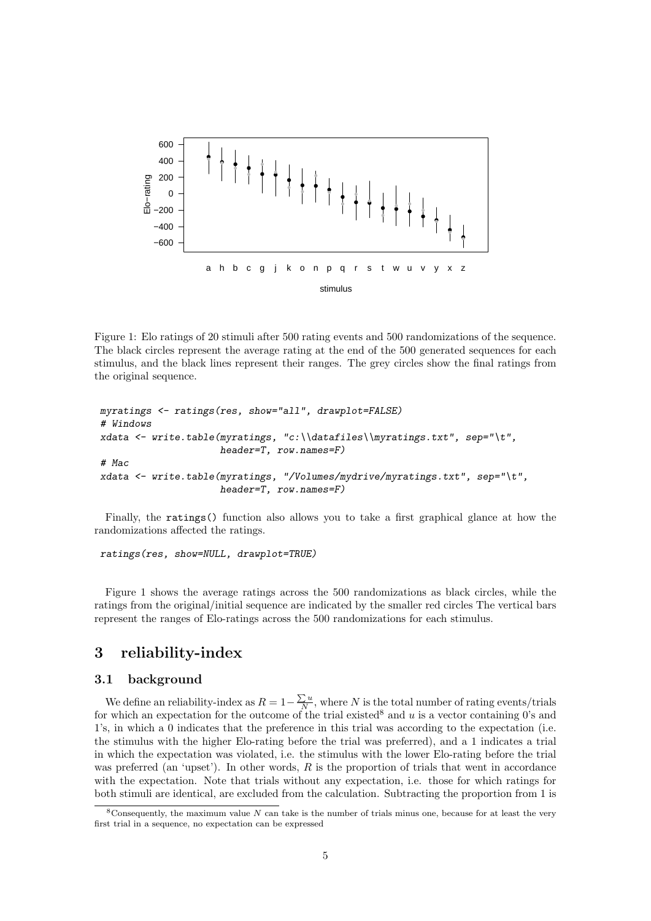

<span id="page-4-2"></span>Figure 1: Elo ratings of 20 stimuli after 500 rating events and 500 randomizations of the sequence. The black circles represent the average rating at the end of the 500 generated sequences for each stimulus, and the black lines represent their ranges. The grey circles show the final ratings from the original sequence.

```
myratings <- ratings(res, show="all", drawplot=FALSE)
# Windows
xdata \left\{\ldots, s\right\}, "c:\\datafiles\\myratings.txt", sep="\t",
                     header=T, row.names=F)
# Mac
xdata <- write.table(myratings, "/Volumes/mydrive/myratings.txt", sep="\t",
                     header=T, row.names=F)
```
Finally, the ratings() function also allows you to take a first graphical glance at how the randomizations affected the ratings.

```
ratings(res, show=NULL, drawplot=TRUE)
```
Figure [1](#page-4-2) shows the average ratings across the 500 randomizations as black circles, while the ratings from the original/initial sequence are indicated by the smaller red circles The vertical bars represent the ranges of Elo-ratings across the 500 randomizations for each stimulus.

# <span id="page-4-0"></span>3 reliability-index

#### <span id="page-4-1"></span>3.1 background

We define an reliability-index as  $R = 1 - \frac{\sum u}{N}$  $\frac{\sum u}{N}$ , where N is the total number of rating events/trials for which an expectation for the outcome of the trial existed<sup>[8](#page-4-3)</sup> and u is a vector containing 0's and 1's, in which a 0 indicates that the preference in this trial was according to the expectation (i.e. the stimulus with the higher Elo-rating before the trial was preferred), and a 1 indicates a trial in which the expectation was violated, i.e. the stimulus with the lower Elo-rating before the trial was preferred (an 'upset'). In other words,  $R$  is the proportion of trials that went in accordance with the expectation. Note that trials without any expectation, i.e. those for which ratings for both stimuli are identical, are excluded from the calculation. Subtracting the proportion from 1 is

<span id="page-4-3"></span> $8C$ onsequently, the maximum value N can take is the number of trials minus one, because for at least the very first trial in a sequence, no expectation can be expressed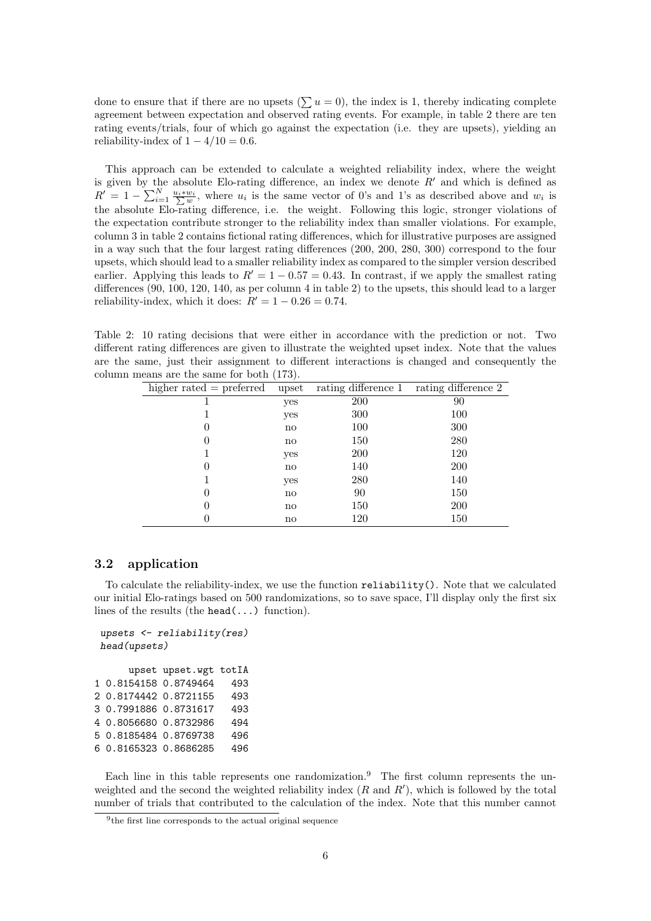done to ensure that if there are no upsets  $(\sum u = 0)$ , the index is 1, thereby indicating complete agreement between expectation and observed rating events. For example, in table [2](#page-5-1) there are ten rating events/trials, four of which go against the expectation (i.e. they are upsets), yielding an reliability-index of  $1 - 4/10 = 0.6$ .

This approach can be extended to calculate a weighted reliability index, where the weight is given by the absolute Elo-rating difference, an index we denote  $R'$  and which is defined as  $R' = 1 - \sum_{i=1}^{N} \frac{u_i * w_i}{\sum w_i}$ , where  $u_i$  is the same vector of 0's and 1's as described above and  $w_i$  is the absolute Elo-rating difference, i.e. the weight. Following this logic, stronger violations of the expectation contribute stronger to the reliability index than smaller violations. For example, column 3 in table [2](#page-5-1) contains fictional rating differences, which for illustrative purposes are assigned in a way such that the four largest rating differences (200, 200, 280, 300) correspond to the four upsets, which should lead to a smaller reliability index as compared to the simpler version described earlier. Applying this leads to  $R' = 1 - 0.57 = 0.43$ . In contrast, if we apply the smallest rating differences (90, 100, 120, 140, as per column 4 in table [2\)](#page-5-1) to the upsets, this should lead to a larger reliability-index, which it does:  $R' = 1 - 0.26 = 0.74$ .

<span id="page-5-1"></span>Table 2: 10 rating decisions that were either in accordance with the prediction or not. Two different rating differences are given to illustrate the weighted upset index. Note that the values are the same, just their assignment to different interactions is changed and consequently the column means are the same for both (173).

| $\frac{1}{2}$<br>$- \cdot - \cdot$ |       |                     |                     |  |  |  |  |  |
|------------------------------------|-------|---------------------|---------------------|--|--|--|--|--|
| higher rated $=$ preferred         | upset | rating difference 1 | rating difference 2 |  |  |  |  |  |
|                                    | yes   | 200                 | 90                  |  |  |  |  |  |
|                                    | yes   | 300                 | 100                 |  |  |  |  |  |
| 0                                  | no    | 100                 | 300                 |  |  |  |  |  |
| $\theta$                           | no    | 150                 | 280                 |  |  |  |  |  |
|                                    | yes   | <b>200</b>          | 120                 |  |  |  |  |  |
| 0                                  | no    | 140                 | <b>200</b>          |  |  |  |  |  |
|                                    | yes   | 280                 | 140                 |  |  |  |  |  |
| $\theta$                           | no    | 90                  | 150                 |  |  |  |  |  |
| $\left( \right)$                   | no    | 150                 | <b>200</b>          |  |  |  |  |  |
|                                    | no    | 120                 | 150                 |  |  |  |  |  |
|                                    |       |                     |                     |  |  |  |  |  |

#### <span id="page-5-0"></span>3.2 application

To calculate the reliability-index, we use the function reliability(). Note that we calculated our initial Elo-ratings based on 500 randomizations, so to save space, I'll display only the first six lines of the results (the head( $\ldots$ ) function).

```
upsets <- reliability(res)
head(upsets)
     upset upset.wgt totIA
1 0.8154158 0.8749464 493
2 0.8174442 0.8721155 493
3 0.7991886 0.8731617 493
4 0.8056680 0.8732986 494
5 0.8185484 0.8769738 496
6 0.8165323 0.8686285 496
```
Each line in this table represents one randomization.<sup>[9](#page-5-2)</sup> The first column represents the unweighted and the second the weighted reliability index  $(R \text{ and } R')$ , which is followed by the total number of trials that contributed to the calculation of the index. Note that this number cannot

<span id="page-5-2"></span><sup>&</sup>lt;sup>9</sup>the first line corresponds to the actual original sequence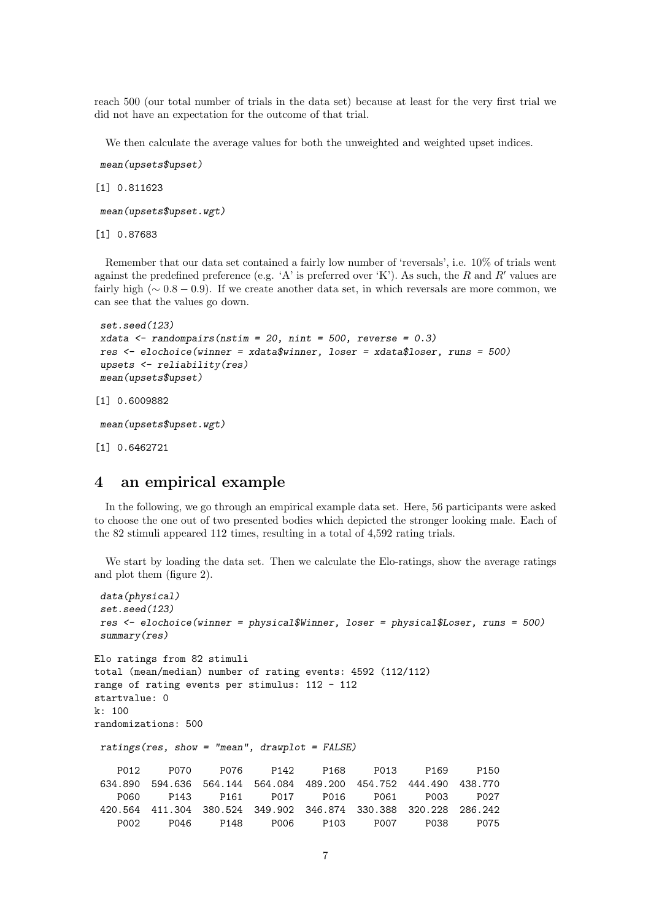reach 500 (our total number of trials in the data set) because at least for the very first trial we did not have an expectation for the outcome of that trial.

We then calculate the average values for both the unweighted and weighted upset indices.

mean(upsets\$upset)

[1] 0.811623

```
mean(upsets$upset.wgt)
```
[1] 0.87683

Remember that our data set contained a fairly low number of 'reversals', i.e. 10% of trials went against the predefined preference (e.g. 'A' is preferred over 'K'). As such, the R and R' values are fairly high ( $\sim 0.8 - 0.9$ ). If we create another data set, in which reversals are more common, we can see that the values go down.

```
set.seed(123)
xdata \le randompairs (nstim = 20, nint = 500, reverse = 0.3)
res <- elochoice(winner = xdata$winner, loser = xdata$loser, runs = 500)
upsets <- reliability(res)
mean(upsets$upset)
```
[1] 0.6009882

mean(upsets\$upset.wgt)

[1] 0.6462721

## <span id="page-6-0"></span>4 an empirical example

In the following, we go through an empirical example data set. Here, 56 participants were asked to choose the one out of two presented bodies which depicted the stronger looking male. Each of the 82 stimuli appeared 112 times, resulting in a total of 4,592 rating trials.

We start by loading the data set. Then we calculate the Elo-ratings, show the average ratings and plot them (figure [2\)](#page-7-1).

```
data(physical)
 set.seed(123)
 res <- elochoice(winner = physical$Winner, loser = physical$Loser, runs = 500)
 summary(res)
Elo ratings from 82 stimuli
total (mean/median) number of rating events: 4592 (112/112)
range of rating events per stimulus: 112 - 112
startvalue: 0
k: 100randomizations: 500
 ratings(res, show = "mean", drawplot = FALSE)
   P012 P070 P076 P142 P168 P013 P169 P150
 634.890 594.636 564.144 564.084 489.200 454.752 444.490 438.770
   P060 P143 P161 P017 P016 P061 P003 P027
 420.564 411.304 380.524 349.902 346.874 330.388 320.228 286.242
   P002 P046 P148 P006 P103 P007 P038 P075
```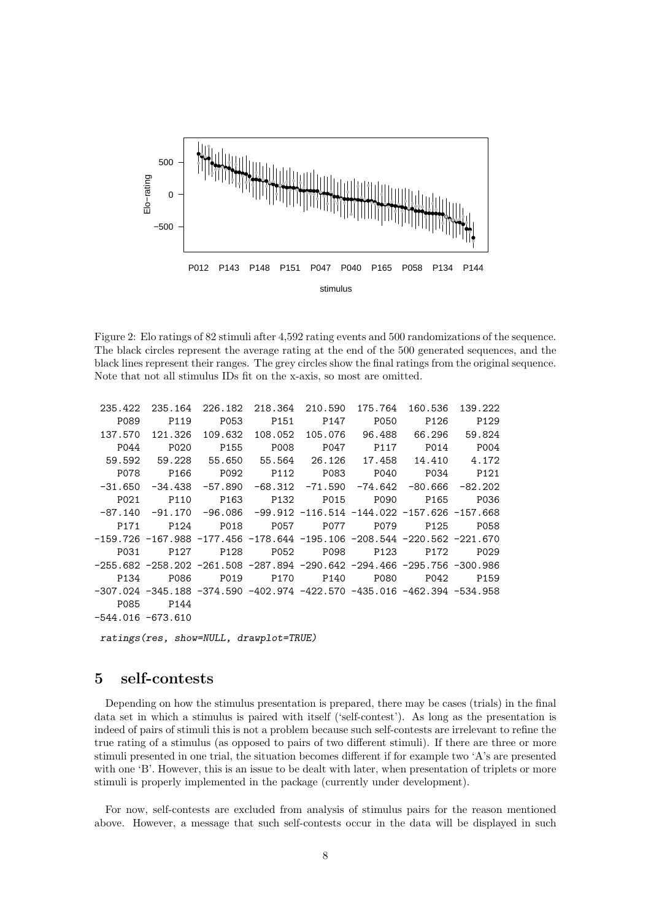

<span id="page-7-1"></span>Figure 2: Elo ratings of 82 stimuli after 4,592 rating events and 500 randomizations of the sequence. The black circles represent the average rating at the end of the 500 generated sequences, and the black lines represent their ranges. The grey circles show the final ratings from the original sequence. Note that not all stimulus IDs fit on the x-axis, so most are omitted.

| 139.222          | 160.536          | 175.764          | 210.590                                     | 226.182 218.364                                                         |                  | 235.164           | 235.422   |
|------------------|------------------|------------------|---------------------------------------------|-------------------------------------------------------------------------|------------------|-------------------|-----------|
| P <sub>129</sub> | P <sub>126</sub> | P050             | P147                                        | P151                                                                    | P053             | P119              | P089      |
| 59.824           | 66.296           | 96.488           | 105.076                                     | 108,052                                                                 | 109.632          | 121.326           | 137.570   |
| P004             | P014             | P117             | P047                                        | P008                                                                    | P <sub>155</sub> | P020              | P044      |
| 4.172            | 14.410           | 17.458           | 26.126                                      | 55.564                                                                  | 55.650           | 59.228            | 59.592    |
| P <sub>121</sub> | P034             | P040             | P083                                        | P112                                                                    | P092             | P <sub>166</sub>  | P078      |
| $-82.202$        | $-80.666$        | -74.642          | $-71.590$                                   | $-68.312$                                                               | $-57.890$        | $-34.438$         | $-31.650$ |
| P036             | P <sub>165</sub> | P090             | P015                                        | P <sub>132</sub>                                                        | P <sub>163</sub> | P110              | P021      |
|                  |                  |                  | -99.912 -116.514 -144.022 -157.626 -157.668 |                                                                         | -96.086          | $-91.170$         | $-87.140$ |
| P058             | P <sub>125</sub> | P079             | P077                                        | P057                                                                    | P018             | P124              | P171      |
|                  |                  |                  |                                             | -159.726 -167.988 -177.456 -178.644 -195.106 -208.544 -220.562 -221.670 |                  |                   |           |
| P029             | P <sub>172</sub> | P <sub>123</sub> | P098                                        | P052                                                                    | P <sub>128</sub> | P <sub>127</sub>  | P031      |
|                  |                  |                  |                                             | -255.682 -258.202 -261.508 -287.894 -290.642 -294.466 -295.756 -300.986 |                  |                   |           |
| P <sub>159</sub> | P042             | P080             | P140                                        | P <sub>170</sub>                                                        | P019             | P086              | P134      |
|                  |                  |                  |                                             | -307.024 -345.188 -374.590 -402.974 -422.570 -435.016 -462.394 -534.958 |                  |                   |           |
|                  |                  |                  |                                             |                                                                         |                  | P144              | P085      |
|                  |                  |                  |                                             |                                                                         |                  | -544.016 -673.610 |           |

ratings(res, show=NULL, drawplot=TRUE)

# <span id="page-7-0"></span>5 self-contests

Depending on how the stimulus presentation is prepared, there may be cases (trials) in the final data set in which a stimulus is paired with itself ('self-contest'). As long as the presentation is indeed of pairs of stimuli this is not a problem because such self-contests are irrelevant to refine the true rating of a stimulus (as opposed to pairs of two different stimuli). If there are three or more stimuli presented in one trial, the situation becomes different if for example two 'A's are presented with one 'B'. However, this is an issue to be dealt with later, when presentation of triplets or more stimuli is properly implemented in the package (currently under development).

For now, self-contests are excluded from analysis of stimulus pairs for the reason mentioned above. However, a message that such self-contests occur in the data will be displayed in such